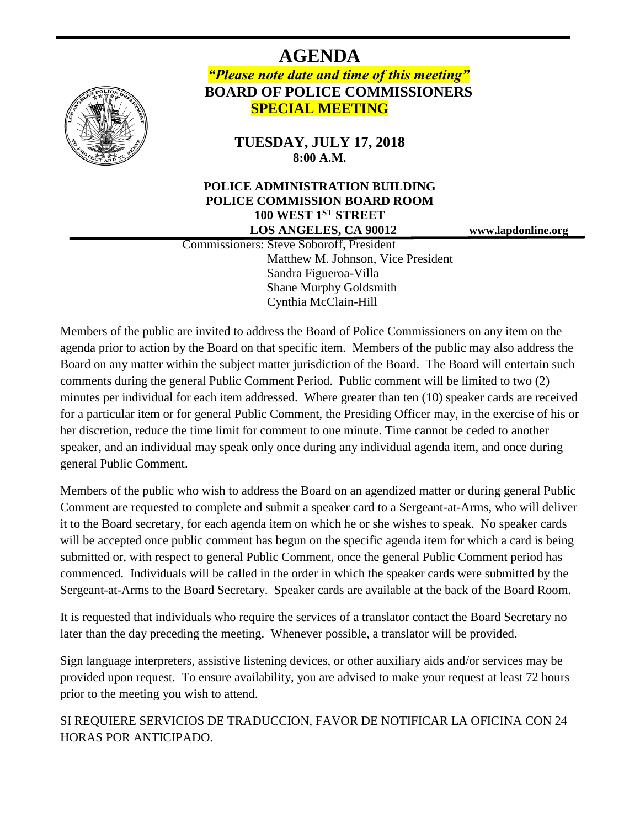

# **AGENDA** *"Please note date and time of this meeting"* **BOARD OF POLICE COMMISSIONERS SPECIAL MEETING**

**TUESDAY, JULY 17, 2018 8:00 A.M.**

## **POLICE ADMINISTRATION BUILDING POLICE COMMISSION BOARD ROOM 100 WEST 1ST STREET LOS ANGELES, CA 90012 www.lapdonline.org**

 Commissioners: Steve Soboroff, President Matthew M. Johnson, Vice President Sandra Figueroa-Villa Shane Murphy Goldsmith Cynthia McClain-Hill

Members of the public are invited to address the Board of Police Commissioners on any item on the agenda prior to action by the Board on that specific item. Members of the public may also address the Board on any matter within the subject matter jurisdiction of the Board. The Board will entertain such comments during the general Public Comment Period. Public comment will be limited to two (2) minutes per individual for each item addressed. Where greater than ten (10) speaker cards are received for a particular item or for general Public Comment, the Presiding Officer may, in the exercise of his or her discretion, reduce the time limit for comment to one minute. Time cannot be ceded to another speaker, and an individual may speak only once during any individual agenda item, and once during general Public Comment.

Members of the public who wish to address the Board on an agendized matter or during general Public Comment are requested to complete and submit a speaker card to a Sergeant-at-Arms, who will deliver it to the Board secretary, for each agenda item on which he or she wishes to speak. No speaker cards will be accepted once public comment has begun on the specific agenda item for which a card is being submitted or, with respect to general Public Comment, once the general Public Comment period has commenced. Individuals will be called in the order in which the speaker cards were submitted by the Sergeant-at-Arms to the Board Secretary. Speaker cards are available at the back of the Board Room.

It is requested that individuals who require the services of a translator contact the Board Secretary no later than the day preceding the meeting. Whenever possible, a translator will be provided.

Sign language interpreters, assistive listening devices, or other auxiliary aids and/or services may be provided upon request. To ensure availability, you are advised to make your request at least 72 hours prior to the meeting you wish to attend.

SI REQUIERE SERVICIOS DE TRADUCCION, FAVOR DE NOTIFICAR LA OFICINA CON 24 HORAS POR ANTICIPADO.